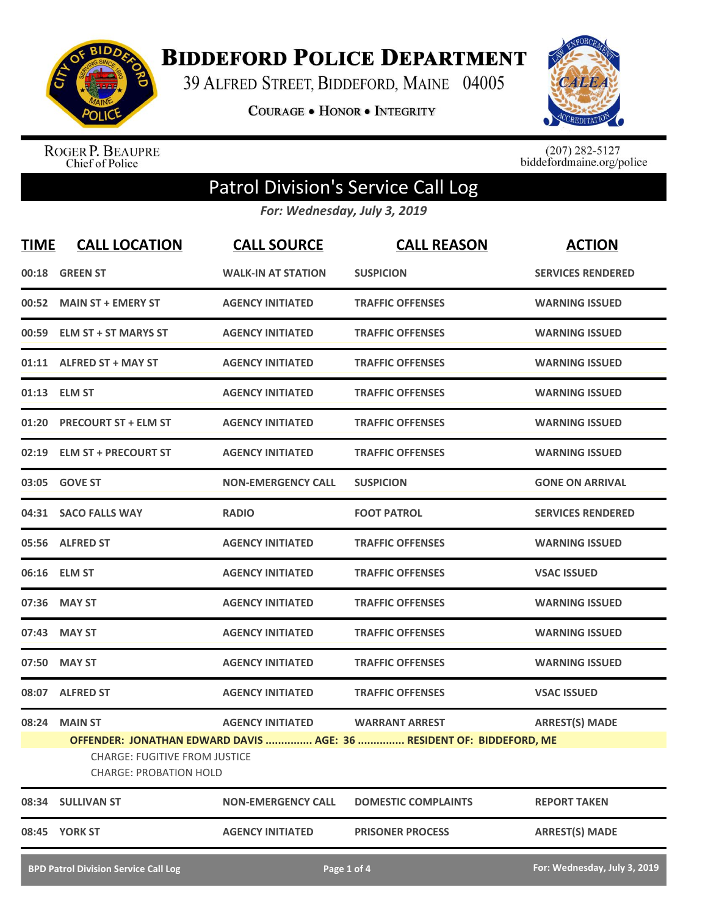

**BIDDEFORD POLICE DEPARTMENT** 

39 ALFRED STREET, BIDDEFORD, MAINE 04005

COURAGE . HONOR . INTEGRITY



ROGER P. BEAUPRE<br>Chief of Police

 $(207)$  282-5127<br>biddefordmaine.org/police

## Patrol Division's Service Call Log

*For: Wednesday, July 3, 2019*

| <b>TIME</b>                                 | <b>CALL LOCATION</b>                                                  | <b>CALL SOURCE</b>        | <b>CALL REASON</b>                                                                            | <b>ACTION</b>                |
|---------------------------------------------|-----------------------------------------------------------------------|---------------------------|-----------------------------------------------------------------------------------------------|------------------------------|
| 00:18                                       | <b>GREEN ST</b>                                                       | <b>WALK-IN AT STATION</b> | <b>SUSPICION</b>                                                                              | <b>SERVICES RENDERED</b>     |
| 00:52                                       | <b>MAIN ST + EMERY ST</b>                                             | <b>AGENCY INITIATED</b>   | <b>TRAFFIC OFFENSES</b>                                                                       | <b>WARNING ISSUED</b>        |
| 00:59                                       | <b>ELM ST + ST MARYS ST</b>                                           | <b>AGENCY INITIATED</b>   | <b>TRAFFIC OFFENSES</b>                                                                       | <b>WARNING ISSUED</b>        |
|                                             | 01:11 ALFRED ST + MAY ST                                              | <b>AGENCY INITIATED</b>   | <b>TRAFFIC OFFENSES</b>                                                                       | <b>WARNING ISSUED</b>        |
|                                             | 01:13 ELM ST                                                          | <b>AGENCY INITIATED</b>   | <b>TRAFFIC OFFENSES</b>                                                                       | <b>WARNING ISSUED</b>        |
|                                             | 01:20 PRECOURT ST + ELM ST                                            | <b>AGENCY INITIATED</b>   | <b>TRAFFIC OFFENSES</b>                                                                       | <b>WARNING ISSUED</b>        |
|                                             | 02:19 ELM ST + PRECOURT ST                                            | <b>AGENCY INITIATED</b>   | <b>TRAFFIC OFFENSES</b>                                                                       | <b>WARNING ISSUED</b>        |
|                                             | 03:05 GOVE ST                                                         | <b>NON-EMERGENCY CALL</b> | <b>SUSPICION</b>                                                                              | <b>GONE ON ARRIVAL</b>       |
|                                             | 04:31 SACO FALLS WAY                                                  | <b>RADIO</b>              | <b>FOOT PATROL</b>                                                                            | <b>SERVICES RENDERED</b>     |
|                                             | 05:56 ALFRED ST                                                       | <b>AGENCY INITIATED</b>   | <b>TRAFFIC OFFENSES</b>                                                                       | <b>WARNING ISSUED</b>        |
|                                             | 06:16 ELM ST                                                          | <b>AGENCY INITIATED</b>   | <b>TRAFFIC OFFENSES</b>                                                                       | <b>VSAC ISSUED</b>           |
|                                             | 07:36 MAY ST                                                          | <b>AGENCY INITIATED</b>   | <b>TRAFFIC OFFENSES</b>                                                                       | <b>WARNING ISSUED</b>        |
| 07:43                                       | <b>MAY ST</b>                                                         | <b>AGENCY INITIATED</b>   | <b>TRAFFIC OFFENSES</b>                                                                       | <b>WARNING ISSUED</b>        |
| 07:50                                       | <b>MAY ST</b>                                                         | <b>AGENCY INITIATED</b>   | <b>TRAFFIC OFFENSES</b>                                                                       | <b>WARNING ISSUED</b>        |
|                                             | 08:07 ALFRED ST                                                       | <b>AGENCY INITIATED</b>   | <b>TRAFFIC OFFENSES</b>                                                                       | <b>VSAC ISSUED</b>           |
| 08:24                                       | <b>MAIN ST</b>                                                        | <b>AGENCY INITIATED</b>   | <b>WARRANT ARREST</b><br>OFFENDER: JONATHAN EDWARD DAVIS  AGE: 36  RESIDENT OF: BIDDEFORD, ME | <b>ARREST(S) MADE</b>        |
|                                             | <b>CHARGE: FUGITIVE FROM JUSTICE</b><br><b>CHARGE: PROBATION HOLD</b> |                           |                                                                                               |                              |
|                                             | 08:34 SULLIVAN ST                                                     | <b>NON-EMERGENCY CALL</b> | <b>DOMESTIC COMPLAINTS</b>                                                                    | <b>REPORT TAKEN</b>          |
|                                             | 08:45 YORK ST                                                         | <b>AGENCY INITIATED</b>   | <b>PRISONER PROCESS</b>                                                                       | <b>ARREST(S) MADE</b>        |
| <b>BPD Patrol Division Service Call Log</b> |                                                                       |                           | Page 1 of 4                                                                                   | For: Wednesday, July 3, 2019 |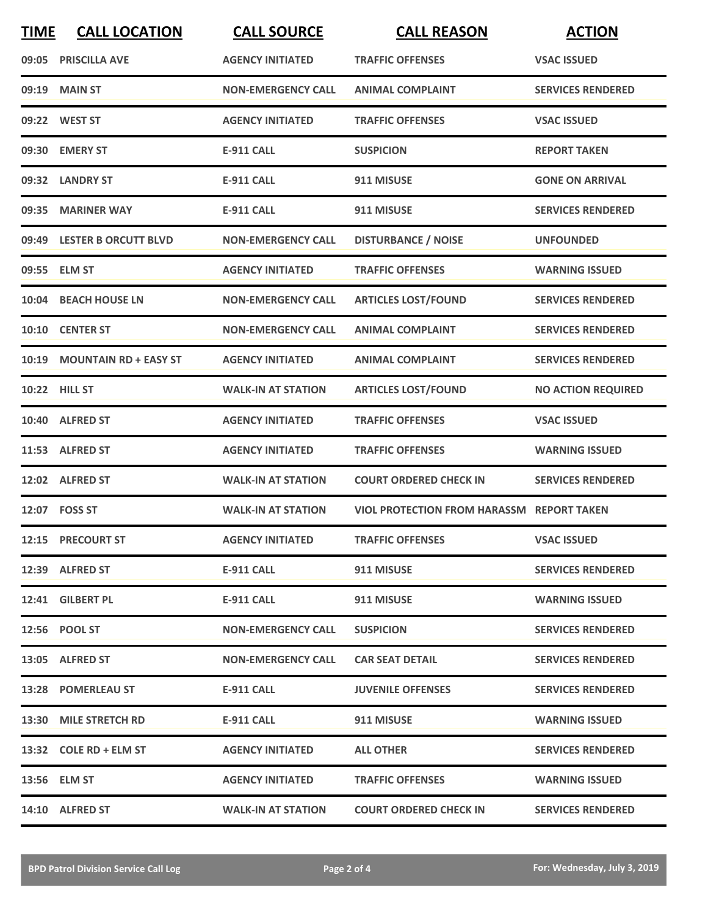| <b>TIME</b> | <b>CALL LOCATION</b>        | <b>CALL SOURCE</b>        | <b>CALL REASON</b>                               | <b>ACTION</b>             |
|-------------|-----------------------------|---------------------------|--------------------------------------------------|---------------------------|
|             | 09:05 PRISCILLA AVE         | <b>AGENCY INITIATED</b>   | <b>TRAFFIC OFFENSES</b>                          | <b>VSAC ISSUED</b>        |
| 09:19       | <b>MAIN ST</b>              | <b>NON-EMERGENCY CALL</b> | <b>ANIMAL COMPLAINT</b>                          | <b>SERVICES RENDERED</b>  |
|             | 09:22 WEST ST               | <b>AGENCY INITIATED</b>   | <b>TRAFFIC OFFENSES</b>                          | <b>VSAC ISSUED</b>        |
|             | 09:30 EMERY ST              | <b>E-911 CALL</b>         | <b>SUSPICION</b>                                 | <b>REPORT TAKEN</b>       |
|             | 09:32 LANDRY ST             | <b>E-911 CALL</b>         | 911 MISUSE                                       | <b>GONE ON ARRIVAL</b>    |
| 09:35       | <b>MARINER WAY</b>          | <b>E-911 CALL</b>         | 911 MISUSE                                       | <b>SERVICES RENDERED</b>  |
|             | 09:49 LESTER B ORCUTT BLVD  | <b>NON-EMERGENCY CALL</b> | <b>DISTURBANCE / NOISE</b>                       | <b>UNFOUNDED</b>          |
|             | 09:55 ELM ST                | <b>AGENCY INITIATED</b>   | <b>TRAFFIC OFFENSES</b>                          | <b>WARNING ISSUED</b>     |
| 10:04       | <b>BEACH HOUSE LN</b>       | <b>NON-EMERGENCY CALL</b> | <b>ARTICLES LOST/FOUND</b>                       | <b>SERVICES RENDERED</b>  |
|             | 10:10 CENTER ST             | <b>NON-EMERGENCY CALL</b> | <b>ANIMAL COMPLAINT</b>                          | <b>SERVICES RENDERED</b>  |
|             | 10:19 MOUNTAIN RD + EASY ST | <b>AGENCY INITIATED</b>   | <b>ANIMAL COMPLAINT</b>                          | <b>SERVICES RENDERED</b>  |
|             | 10:22 HILL ST               | <b>WALK-IN AT STATION</b> | <b>ARTICLES LOST/FOUND</b>                       | <b>NO ACTION REQUIRED</b> |
|             | 10:40 ALFRED ST             | <b>AGENCY INITIATED</b>   | <b>TRAFFIC OFFENSES</b>                          | <b>VSAC ISSUED</b>        |
|             | 11:53 ALFRED ST             | <b>AGENCY INITIATED</b>   | <b>TRAFFIC OFFENSES</b>                          | <b>WARNING ISSUED</b>     |
|             | 12:02 ALFRED ST             | <b>WALK-IN AT STATION</b> | <b>COURT ORDERED CHECK IN</b>                    | <b>SERVICES RENDERED</b>  |
|             | 12:07 FOSS ST               | <b>WALK-IN AT STATION</b> | <b>VIOL PROTECTION FROM HARASSM REPORT TAKEN</b> |                           |
|             | 12:15 PRECOURT ST           | <b>AGENCY INITIATED</b>   | <b>TRAFFIC OFFENSES</b>                          | <b>VSAC ISSUED</b>        |
|             | 12:39 ALFRED ST             | E-911 CALL                | 911 MISUSE                                       | <b>SERVICES RENDERED</b>  |
|             | 12:41 GILBERT PL            | E-911 CALL                | 911 MISUSE                                       | <b>WARNING ISSUED</b>     |
|             | 12:56 POOL ST               | <b>NON-EMERGENCY CALL</b> | <b>SUSPICION</b>                                 | <b>SERVICES RENDERED</b>  |
|             | 13:05 ALFRED ST             | <b>NON-EMERGENCY CALL</b> | <b>CAR SEAT DETAIL</b>                           | <b>SERVICES RENDERED</b>  |
|             | 13:28 POMERLEAU ST          | E-911 CALL                | <b>JUVENILE OFFENSES</b>                         | <b>SERVICES RENDERED</b>  |
|             | 13:30 MILE STRETCH RD       | E-911 CALL                | 911 MISUSE                                       | <b>WARNING ISSUED</b>     |
|             | 13:32 COLE RD + ELM ST      | <b>AGENCY INITIATED</b>   | <b>ALL OTHER</b>                                 | <b>SERVICES RENDERED</b>  |
|             | 13:56 ELM ST                | <b>AGENCY INITIATED</b>   | <b>TRAFFIC OFFENSES</b>                          | <b>WARNING ISSUED</b>     |
|             | 14:10 ALFRED ST             | <b>WALK-IN AT STATION</b> | <b>COURT ORDERED CHECK IN</b>                    | <b>SERVICES RENDERED</b>  |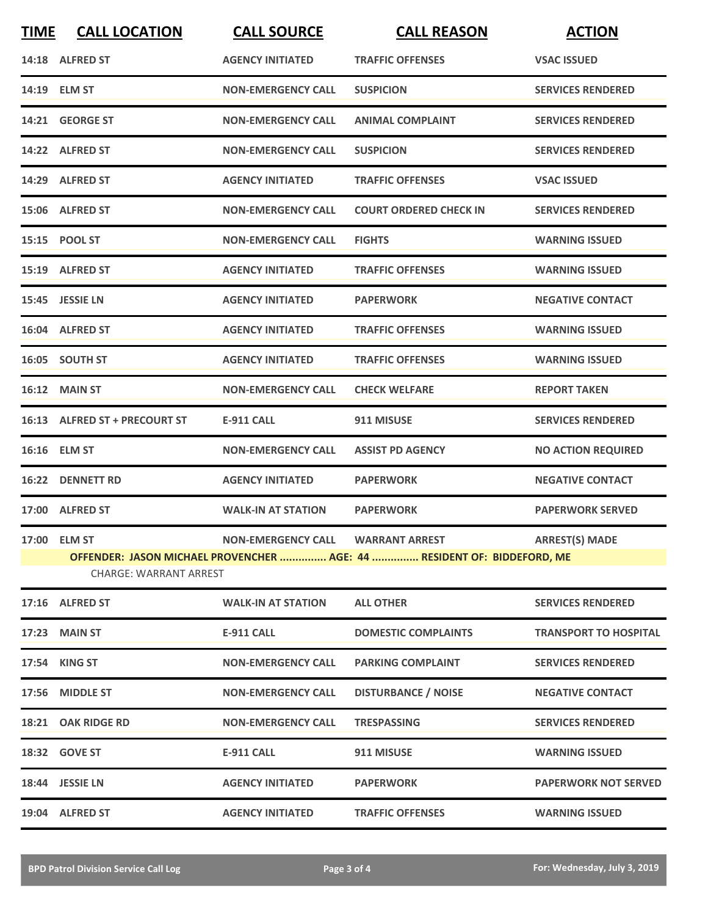| <b>TIME</b>                                                                                              | <b>CALL LOCATION</b>          | <b>CALL SOURCE</b>        | <b>CALL REASON</b>            | <b>ACTION</b>                |  |
|----------------------------------------------------------------------------------------------------------|-------------------------------|---------------------------|-------------------------------|------------------------------|--|
|                                                                                                          | 14:18 ALFRED ST               | <b>AGENCY INITIATED</b>   | <b>TRAFFIC OFFENSES</b>       | <b>VSAC ISSUED</b>           |  |
|                                                                                                          | 14:19 ELM ST                  | <b>NON-EMERGENCY CALL</b> | <b>SUSPICION</b>              | <b>SERVICES RENDERED</b>     |  |
|                                                                                                          | 14:21 GEORGE ST               | <b>NON-EMERGENCY CALL</b> | <b>ANIMAL COMPLAINT</b>       | <b>SERVICES RENDERED</b>     |  |
|                                                                                                          | 14:22 ALFRED ST               | <b>NON-EMERGENCY CALL</b> | <b>SUSPICION</b>              | <b>SERVICES RENDERED</b>     |  |
|                                                                                                          | 14:29 ALFRED ST               | <b>AGENCY INITIATED</b>   | <b>TRAFFIC OFFENSES</b>       | <b>VSAC ISSUED</b>           |  |
|                                                                                                          | 15:06 ALFRED ST               | <b>NON-EMERGENCY CALL</b> | <b>COURT ORDERED CHECK IN</b> | <b>SERVICES RENDERED</b>     |  |
|                                                                                                          | 15:15 POOL ST                 | <b>NON-EMERGENCY CALL</b> | <b>FIGHTS</b>                 | <b>WARNING ISSUED</b>        |  |
|                                                                                                          | 15:19 ALFRED ST               | <b>AGENCY INITIATED</b>   | <b>TRAFFIC OFFENSES</b>       | <b>WARNING ISSUED</b>        |  |
|                                                                                                          | 15:45 JESSIE LN               | <b>AGENCY INITIATED</b>   | <b>PAPERWORK</b>              | <b>NEGATIVE CONTACT</b>      |  |
|                                                                                                          | 16:04 ALFRED ST               | <b>AGENCY INITIATED</b>   | <b>TRAFFIC OFFENSES</b>       | <b>WARNING ISSUED</b>        |  |
|                                                                                                          | 16:05 SOUTH ST                | <b>AGENCY INITIATED</b>   | <b>TRAFFIC OFFENSES</b>       | <b>WARNING ISSUED</b>        |  |
|                                                                                                          | 16:12 MAIN ST                 | <b>NON-EMERGENCY CALL</b> | <b>CHECK WELFARE</b>          | <b>REPORT TAKEN</b>          |  |
|                                                                                                          | 16:13 ALFRED ST + PRECOURT ST | <b>E-911 CALL</b>         | 911 MISUSE                    | <b>SERVICES RENDERED</b>     |  |
|                                                                                                          | 16:16 ELM ST                  | <b>NON-EMERGENCY CALL</b> | <b>ASSIST PD AGENCY</b>       | <b>NO ACTION REQUIRED</b>    |  |
|                                                                                                          | 16:22 DENNETT RD              | <b>AGENCY INITIATED</b>   | <b>PAPERWORK</b>              | <b>NEGATIVE CONTACT</b>      |  |
|                                                                                                          | 17:00 ALFRED ST               | <b>WALK-IN AT STATION</b> | <b>PAPERWORK</b>              | <b>PAPERWORK SERVED</b>      |  |
|                                                                                                          | 17:00 ELM ST                  |                           |                               |                              |  |
| OFFENDER: JASON MICHAEL PROVENCHER  AGE: 44  RESIDENT OF: BIDDEFORD, ME<br><b>CHARGE: WARRANT ARREST</b> |                               |                           |                               |                              |  |
|                                                                                                          | 17:16 ALFRED ST               | <b>WALK-IN AT STATION</b> | <b>ALL OTHER</b>              | <b>SERVICES RENDERED</b>     |  |
|                                                                                                          | 17:23 MAIN ST                 | <b>E-911 CALL</b>         | <b>DOMESTIC COMPLAINTS</b>    | <b>TRANSPORT TO HOSPITAL</b> |  |
|                                                                                                          | 17:54 KING ST                 | <b>NON-EMERGENCY CALL</b> | <b>PARKING COMPLAINT</b>      | <b>SERVICES RENDERED</b>     |  |
|                                                                                                          | 17:56 MIDDLE ST               | <b>NON-EMERGENCY CALL</b> | <b>DISTURBANCE / NOISE</b>    | <b>NEGATIVE CONTACT</b>      |  |
|                                                                                                          | 18:21 OAK RIDGE RD            | <b>NON-EMERGENCY CALL</b> | <b>TRESPASSING</b>            | <b>SERVICES RENDERED</b>     |  |
|                                                                                                          | 18:32 GOVE ST                 | E-911 CALL                | 911 MISUSE                    | <b>WARNING ISSUED</b>        |  |
|                                                                                                          | 18:44 JESSIE LN               | <b>AGENCY INITIATED</b>   | <b>PAPERWORK</b>              | <b>PAPERWORK NOT SERVED</b>  |  |
|                                                                                                          | 19:04 ALFRED ST               | <b>AGENCY INITIATED</b>   | <b>TRAFFIC OFFENSES</b>       | <b>WARNING ISSUED</b>        |  |